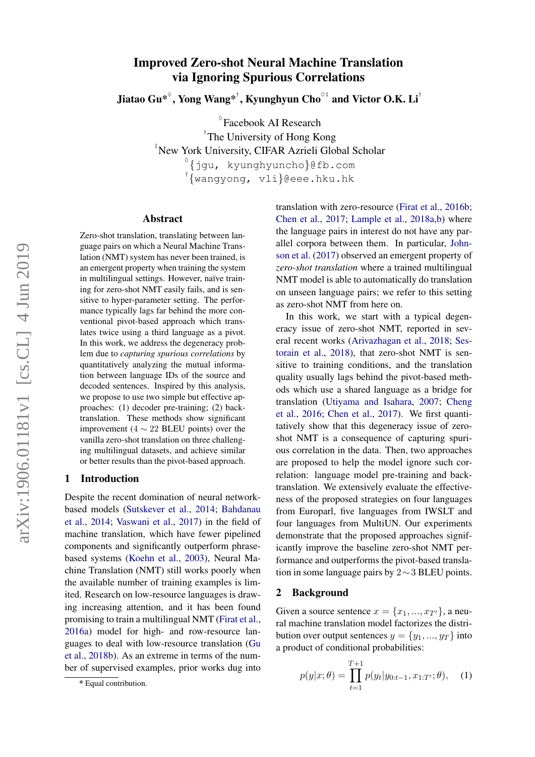# Improved Zero-shot Neural Machine Translation via Ignoring Spurious Correlations

Jiatao Gu $^{*^{\Diamond}},$  Yong Wang $^{*^{\dag}},$  Kyunghyun Cho $^{\Diamond\ddag}$  and Victor O.K. Li $^{\dag}$ 

 $^{\circ}$ Facebook AI Research † The University of Hong Kong ‡ New York University, CIFAR Azrieli Global Scholar  $^{\diamond}$ {jgu, kyunghyuncho}@fb.com<br>'{wangyong, vli}@eee.hku.hk

#### Abstract

Zero-shot translation, translating between language pairs on which a Neural Machine Translation (NMT) system has never been trained, is an emergent property when training the system in multilingual settings. However, naïve training for zero-shot NMT easily fails, and is sensitive to hyper-parameter setting. The performance typically lags far behind the more conventional pivot-based approach which translates twice using a third language as a pivot. In this work, we address the degeneracy problem due to *capturing spurious correlations* by quantitatively analyzing the mutual information between language IDs of the source and decoded sentences. Inspired by this analysis, we propose to use two simple but effective approaches: (1) decoder pre-training; (2) backtranslation. These methods show significant improvement ( $4 \sim 22$  BLEU points) over the vanilla zero-shot translation on three challenging multilingual datasets, and achieve similar or better results than the pivot-based approach.

# 1 Introduction

Despite the recent domination of neural networkbased models [\(Sutskever et al.,](#page-9-0) [2014;](#page-9-0) [Bahdanau](#page-8-0) [et al.,](#page-8-0) [2014;](#page-8-0) [Vaswani et al.,](#page-9-1) [2017\)](#page-9-1) in the field of machine translation, which have fewer pipelined components and significantly outperform phrasebased systems [\(Koehn et al.,](#page-9-2) [2003\)](#page-9-2), Neural Machine Translation (NMT) still works poorly when the available number of training examples is limited. Research on low-resource languages is drawing increasing attention, and it has been found promising to train a multilingual NMT [\(Firat et al.,](#page-8-1) [2016a\)](#page-8-1) model for high- and row-resource languages to deal with low-resource translation [\(Gu](#page-8-2) [et al.,](#page-8-2) [2018b\)](#page-8-2). As an extreme in terms of the number of supervised examples, prior works dug into

translation with zero-resource [\(Firat et al.,](#page-8-3) [2016b;](#page-8-3) [Chen et al.,](#page-8-4) [2017;](#page-8-4) [Lample et al.,](#page-9-3) [2018a](#page-9-3)[,b\)](#page-9-4) where the language pairs in interest do not have any parallel corpora between them. In particular, [John](#page-8-5)[son et al.](#page-8-5) [\(2017\)](#page-8-5) observed an emergent property of *zero-shot translation* where a trained multilingual NMT model is able to automatically do translation on unseen language pairs; we refer to this setting as zero-shot NMT from here on.

In this work, we start with a typical degeneracy issue of zero-shot NMT, reported in several recent works [\(Arivazhagan et al.,](#page-8-6) [2018;](#page-8-6) [Ses](#page-9-5)[torain et al.,](#page-9-5) [2018\)](#page-9-5), that zero-shot NMT is sensitive to training conditions, and the translation quality usually lags behind the pivot-based methods which use a shared language as a bridge for translation [\(Utiyama and Isahara,](#page-9-6) [2007;](#page-9-6) [Cheng](#page-8-7) [et al.,](#page-8-7) [2016;](#page-8-7) [Chen et al.,](#page-8-4) [2017\)](#page-8-4). We first quantitatively show that this degeneracy issue of zeroshot NMT is a consequence of capturing spurious correlation in the data. Then, two approaches are proposed to help the model ignore such correlation: language model pre-training and backtranslation. We extensively evaluate the effectiveness of the proposed strategies on four languages from Europarl, five languages from IWSLT and four languages from MultiUN. Our experiments demonstrate that the proposed approaches significantly improve the baseline zero-shot NMT performance and outperforms the pivot-based translation in some language pairs by 2∼3 BLEU points.

#### 2 Background

Given a source sentence  $x = \{x_1, ..., x_{T'}\}$ , a neural machine translation model factorizes the distribution over output sentences  $y = \{y_1, ..., y_T\}$  into a product of conditional probabilities:

$$
p(y|x; \theta) = \prod_{t=1}^{T+1} p(y_t | y_{0:t-1}, x_{1:T'}; \theta), \quad (1)
$$

<sup>\*</sup> Equal contribution.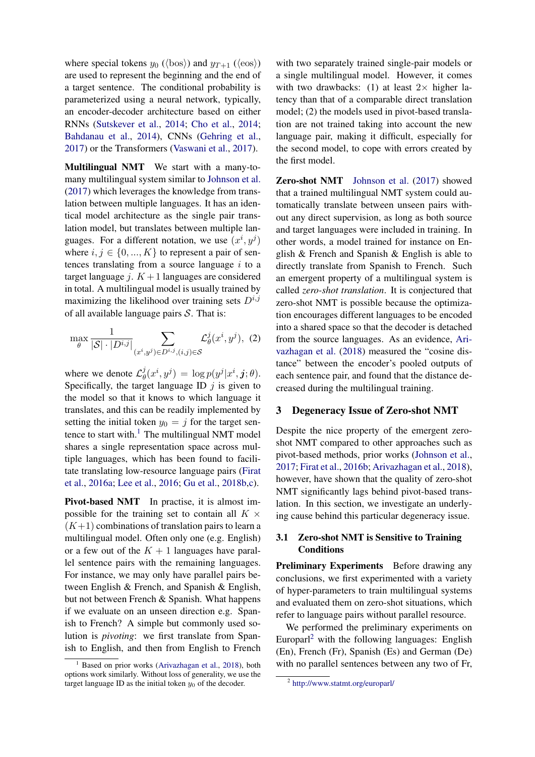where special tokens  $y_0$  ( $\langle$ bos $\rangle$ ) and  $y_{T+1}$  ( $\langle$ eos $\rangle$ ) are used to represent the beginning and the end of a target sentence. The conditional probability is parameterized using a neural network, typically, an encoder-decoder architecture based on either RNNs [\(Sutskever et al.,](#page-9-0) [2014;](#page-9-0) [Cho et al.,](#page-8-8) [2014;](#page-8-8) [Bahdanau et al.,](#page-8-0) [2014\)](#page-8-0), CNNs [\(Gehring et al.,](#page-8-9) [2017\)](#page-8-9) or the Transformers [\(Vaswani et al.,](#page-9-1) [2017\)](#page-9-1).

Multilingual NMT We start with a many-tomany multilingual system similar to [Johnson et al.](#page-8-5) [\(2017\)](#page-8-5) which leverages the knowledge from translation between multiple languages. It has an identical model architecture as the single pair translation model, but translates between multiple languages. For a different notation, we use  $(x^i, y^j)$ where  $i, j \in \{0, ..., K\}$  to represent a pair of sentences translating from a source language  $i$  to a target language j.  $K + 1$  languages are considered in total. A multilingual model is usually trained by maximizing the likelihood over training sets  $D^{i,j}$ of all available language pairs  $S$ . That is:

$$
\max_{\theta} \frac{1}{|\mathcal{S}| \cdot |D^{i,j}|} \sum_{(x^i, y^j) \in D^{i,j}, (i,j) \in \mathcal{S}} \mathcal{L}^j_{\theta}(x^i, y^j), (2)
$$

where we denote  $\mathcal{L}_{\beta}^{j}$  $\theta^j_\theta(x^i,y^j) \,=\, \log p(y^j|x^i,\boldsymbol{j};\theta).$ Specifically, the target language ID  $j$  is given to the model so that it knows to which language it translates, and this can be readily implemented by setting the initial token  $y_0 = j$  for the target sentence to start with. $1$  The multilingual NMT model shares a single representation space across multiple languages, which has been found to facilitate translating low-resource language pairs [\(Firat](#page-8-1) [et al.,](#page-8-1) [2016a;](#page-8-1) [Lee et al.,](#page-9-7) [2016;](#page-9-7) [Gu et al.,](#page-8-2) [2018b](#page-8-2)[,c\)](#page-8-10).

Pivot-based NMT In practise, it is almost impossible for the training set to contain all  $K \times$  $(K+1)$  combinations of translation pairs to learn a multilingual model. Often only one (e.g. English) or a few out of the  $K + 1$  languages have parallel sentence pairs with the remaining languages. For instance, we may only have parallel pairs between English & French, and Spanish & English, but not between French & Spanish. What happens if we evaluate on an unseen direction e.g. Spanish to French? A simple but commonly used solution is *pivoting*: we first translate from Spanish to English, and then from English to French

with two separately trained single-pair models or a single multilingual model. However, it comes with two drawbacks: (1) at least  $2 \times$  higher latency than that of a comparable direct translation model; (2) the models used in pivot-based translation are not trained taking into account the new language pair, making it difficult, especially for the second model, to cope with errors created by the first model.

Zero-shot NMT [Johnson et al.](#page-8-5) [\(2017\)](#page-8-5) showed that a trained multilingual NMT system could automatically translate between unseen pairs without any direct supervision, as long as both source and target languages were included in training. In other words, a model trained for instance on English & French and Spanish & English is able to directly translate from Spanish to French. Such an emergent property of a multilingual system is called *zero-shot translation*. It is conjectured that zero-shot NMT is possible because the optimization encourages different languages to be encoded into a shared space so that the decoder is detached from the source languages. As an evidence, [Ari](#page-8-6)[vazhagan et al.](#page-8-6) [\(2018\)](#page-8-6) measured the "cosine distance" between the encoder's pooled outputs of each sentence pair, and found that the distance decreased during the multilingual training.

## 3 Degeneracy Issue of Zero-shot NMT

Despite the nice property of the emergent zeroshot NMT compared to other approaches such as pivot-based methods, prior works [\(Johnson et al.,](#page-8-5) [2017;](#page-8-5) [Firat et al.,](#page-8-3) [2016b;](#page-8-3) [Arivazhagan et al.,](#page-8-6) [2018\)](#page-8-6), however, have shown that the quality of zero-shot NMT significantly lags behind pivot-based translation. In this section, we investigate an underlying cause behind this particular degeneracy issue.

# <span id="page-1-2"></span>3.1 Zero-shot NMT is Sensitive to Training Conditions

Preliminary Experiments Before drawing any conclusions, we first experimented with a variety of hyper-parameters to train multilingual systems and evaluated them on zero-shot situations, which refer to language pairs without parallel resource.

We performed the preliminary experiments on Europarl<sup>[2](#page-1-1)</sup> with the following languages: English (En), French (Fr), Spanish (Es) and German (De) with no parallel sentences between any two of Fr,

<span id="page-1-0"></span> $1$  Based on prior works [\(Arivazhagan et al.,](#page-8-6) [2018\)](#page-8-6), both options work similarly. Without loss of generality, we use the target language ID as the initial token  $y_0$  of the decoder.

<span id="page-1-1"></span><sup>2</sup> <http://www.statmt.org/europarl/>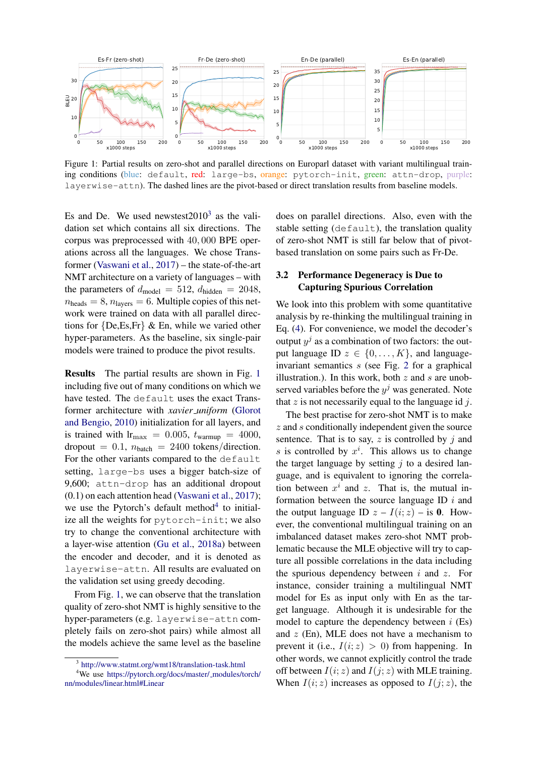<span id="page-2-1"></span>

Figure 1: Partial results on zero-shot and parallel directions on Europarl dataset with variant multilingual training conditions (blue: default, red: large-bs, orange: pytorch-init, green: attn-drop, purple: layerwise-attn). The dashed lines are the pivot-based or direct translation results from baseline models.

Es and De. We used newstest $2010^3$  $2010^3$  as the validation set which contains all six directions. The corpus was preprocessed with 40, 000 BPE operations across all the languages. We chose Transformer [\(Vaswani et al.,](#page-9-1) [2017\)](#page-9-1) – the state-of-the-art NMT architecture on a variety of languages – with the parameters of  $d_{\text{model}} = 512$ ,  $d_{\text{hidden}} = 2048$ ,  $n_{\text{heads}} = 8$ ,  $n_{\text{layers}} = 6$ . Multiple copies of this network were trained on data with all parallel directions for {De,Es,Fr} & En, while we varied other hyper-parameters. As the baseline, six single-pair models were trained to produce the pivot results.

Results The partial results are shown in Fig. [1](#page-2-1) including five out of many conditions on which we have tested. The default uses the exact Transformer architecture with *xavier uniform* [\(Glorot](#page-8-11) [and Bengio,](#page-8-11) [2010\)](#page-8-11) initialization for all layers, and is trained with  $r_{\text{max}} = 0.005$ ,  $t_{\text{warmup}} = 4000$ , dropout = 0.1,  $n_{\text{batch}} = 2400$  tokens/direction. For the other variants compared to the default setting, large-bs uses a bigger batch-size of 9,600; attn-drop has an additional dropout (0.1) on each attention head [\(Vaswani et al.,](#page-9-1) [2017\)](#page-9-1); we use the Pytorch's default method<sup>[4](#page-2-2)</sup> to initialize all the weights for pytorch-init; we also try to change the conventional architecture with a layer-wise attention [\(Gu et al.,](#page-8-12) [2018a\)](#page-8-12) between the encoder and decoder, and it is denoted as layerwise-attn. All results are evaluated on the validation set using greedy decoding.

From Fig. [1,](#page-2-1) we can observe that the translation quality of zero-shot NMT is highly sensitive to the hyper-parameters (e.g. layerwise-attn completely fails on zero-shot pairs) while almost all the models achieve the same level as the baseline

does on parallel directions. Also, even with the stable setting  $(default)$ , the translation quality of zero-shot NMT is still far below that of pivotbased translation on some pairs such as Fr-De.

# 3.2 Performance Degeneracy is Due to Capturing Spurious Correlation

We look into this problem with some quantitative analysis by re-thinking the multilingual training in Eq. [\(4\)](#page-3-0). For convenience, we model the decoder's output  $y^j$  as a combination of two factors: the output language ID  $z \in \{0, \ldots, K\}$ , and languageinvariant semantics s (see Fig. [2](#page-3-1) for a graphical illustration.). In this work, both  $z$  and  $s$  are unobserved variables before the  $y^j$  was generated. Note that  $z$  is not necessarily equal to the language id  $j$ .

The best practise for zero-shot NMT is to make  $z$  and  $s$  conditionally independent given the source sentence. That is to say,  $z$  is controlled by  $i$  and s is controlled by  $x^i$ . This allows us to change the target language by setting  $j$  to a desired language, and is equivalent to ignoring the correlation between  $x^i$  and z. That is, the mutual information between the source language ID  $i$  and the output language ID  $z - I(i; z) -$  is 0. However, the conventional multilingual training on an imbalanced dataset makes zero-shot NMT problematic because the MLE objective will try to capture all possible correlations in the data including the spurious dependency between  $i$  and  $z$ . For instance, consider training a multilingual NMT model for Es as input only with En as the target language. Although it is undesirable for the model to capture the dependency between  $i$  (Es) and  $z$  (En), MLE does not have a mechanism to prevent it (i.e.,  $I(i; z) > 0$ ) from happening. In other words, we cannot explicitly control the trade off between  $I(i; z)$  and  $I(j; z)$  with MLE training. When  $I(i; z)$  increases as opposed to  $I(j; z)$ , the

<span id="page-2-2"></span><span id="page-2-0"></span><sup>3</sup> <http://www.statmt.org/wmt18/translation-task.html>

<sup>4</sup>We use [https://pytorch.org/docs/master/](https://pytorch.org/docs/master/_modules/torch/nn/modules/linear.html#Linear) modules/torch/ [nn/modules/linear.html#Linear](https://pytorch.org/docs/master/_modules/torch/nn/modules/linear.html#Linear)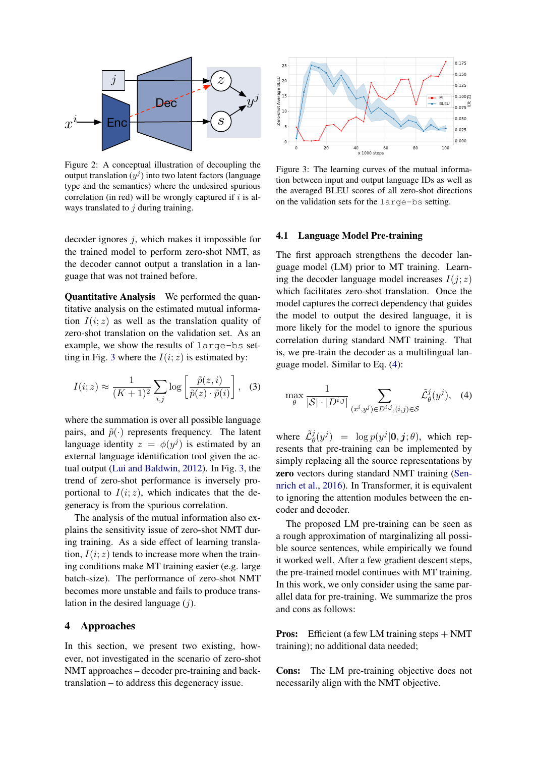<span id="page-3-1"></span>

Figure 2: A conceptual illustration of decoupling the output translation  $(y^j)$  into two latent factors (language type and the semantics) where the undesired spurious correlation (in red) will be wrongly captured if  $i$  is always translated to  $j$  during training.

decoder ignores j, which makes it impossible for the trained model to perform zero-shot NMT, as the decoder cannot output a translation in a language that was not trained before.

Quantitative Analysis We performed the quantitative analysis on the estimated mutual information  $I(i; z)$  as well as the translation quality of zero-shot translation on the validation set. As an example, we show the results of large-bs set-ting in Fig. [3](#page-3-2) where the  $I(i; z)$  is estimated by:

$$
I(i; z) \approx \frac{1}{(K+1)^2} \sum_{i,j} \log \left[ \frac{\tilde{p}(z, i)}{\tilde{p}(z) \cdot \tilde{p}(i)} \right], \quad (3)
$$

where the summation is over all possible language pairs, and  $\tilde{p}(\cdot)$  represents frequency. The latent language identity  $z = \phi(y^j)$  is estimated by an external language identification tool given the actual output [\(Lui and Baldwin,](#page-9-8) [2012\)](#page-9-8). In Fig. [3,](#page-3-2) the trend of zero-shot performance is inversely proportional to  $I(i; z)$ , which indicates that the degeneracy is from the spurious correlation.

The analysis of the mutual information also explains the sensitivity issue of zero-shot NMT during training. As a side effect of learning translation,  $I(i; z)$  tends to increase more when the training conditions make MT training easier (e.g. large batch-size). The performance of zero-shot NMT becomes more unstable and fails to produce translation in the desired language  $(j)$ .

#### <span id="page-3-3"></span>4 Approaches

In this section, we present two existing, however, not investigated in the scenario of zero-shot NMT approaches – decoder pre-training and backtranslation – to address this degeneracy issue.

<span id="page-3-2"></span>

Figure 3: The learning curves of the mutual information between input and output language IDs as well as the averaged BLEU scores of all zero-shot directions on the validation sets for the large-bs setting.

#### 4.1 Language Model Pre-training

The first approach strengthens the decoder language model (LM) prior to MT training. Learning the decoder language model increases  $I(j; z)$ which facilitates zero-shot translation. Once the model captures the correct dependency that guides the model to output the desired language, it is more likely for the model to ignore the spurious correlation during standard NMT training. That is, we pre-train the decoder as a multilingual language model. Similar to Eq. [\(4\)](#page-3-0):

<span id="page-3-0"></span>
$$
\max_{\theta} \frac{1}{|\mathcal{S}| \cdot |D^{i,j}|} \sum_{(x^i, y^j) \in D^{i,j}, (i,j) \in \mathcal{S}} \tilde{\mathcal{L}}_{\theta}^j(y^j), \quad (4)
$$

where  $\tilde{\mathcal{L}}_{\theta}^{j}(y^{j}) = \log p(y^{j}|\mathbf{0}, \mathbf{j}; \theta)$ , which represents that pre-training can be implemented by simply replacing all the source representations by zero vectors during standard NMT training [\(Sen](#page-9-9)[nrich et al.,](#page-9-9) [2016\)](#page-9-9). In Transformer, it is equivalent to ignoring the attention modules between the encoder and decoder.

The proposed LM pre-training can be seen as a rough approximation of marginalizing all possible source sentences, while empirically we found it worked well. After a few gradient descent steps, the pre-trained model continues with MT training. In this work, we only consider using the same parallel data for pre-training. We summarize the pros and cons as follows:

Pros: Efficient (a few LM training steps + NMT training); no additional data needed;

Cons: The LM pre-training objective does not necessarily align with the NMT objective.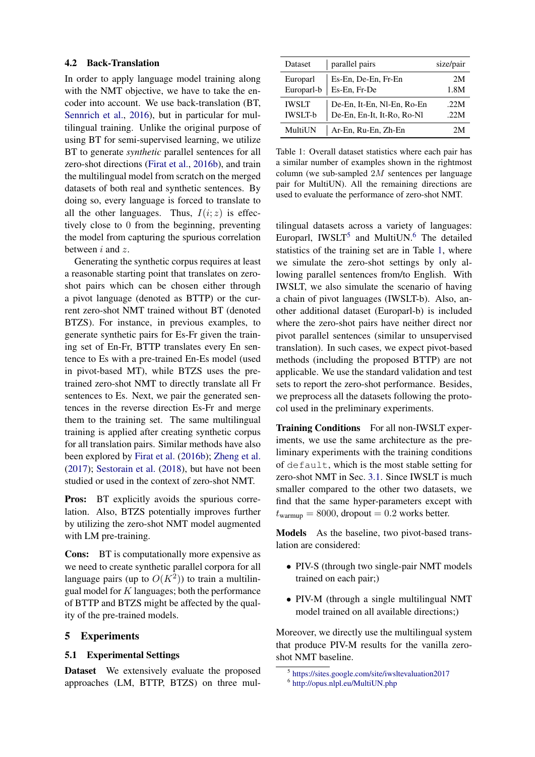#### 4.2 Back-Translation

In order to apply language model training along with the NMT objective, we have to take the encoder into account. We use back-translation (BT, [Sennrich et al.,](#page-9-9) [2016\)](#page-9-9), but in particular for multilingual training. Unlike the original purpose of using BT for semi-supervised learning, we utilize BT to generate *synthetic* parallel sentences for all zero-shot directions [\(Firat et al.,](#page-8-3) [2016b\)](#page-8-3), and train the multilingual model from scratch on the merged datasets of both real and synthetic sentences. By doing so, every language is forced to translate to all the other languages. Thus,  $I(i; z)$  is effectively close to 0 from the beginning, preventing the model from capturing the spurious correlation between i and z.

Generating the synthetic corpus requires at least a reasonable starting point that translates on zeroshot pairs which can be chosen either through a pivot language (denoted as BTTP) or the current zero-shot NMT trained without BT (denoted BTZS). For instance, in previous examples, to generate synthetic pairs for Es-Fr given the training set of En-Fr, BTTP translates every En sentence to Es with a pre-trained En-Es model (used in pivot-based MT), while BTZS uses the pretrained zero-shot NMT to directly translate all Fr sentences to Es. Next, we pair the generated sentences in the reverse direction Es-Fr and merge them to the training set. The same multilingual training is applied after creating synthetic corpus for all translation pairs. Similar methods have also been explored by [Firat et al.](#page-8-3) [\(2016b\)](#page-8-3); [Zheng et al.](#page-9-10) [\(2017\)](#page-9-10); [Sestorain et al.](#page-9-5) [\(2018\)](#page-9-5), but have not been studied or used in the context of zero-shot NMT.

Pros: BT explicitly avoids the spurious correlation. Also, BTZS potentially improves further by utilizing the zero-shot NMT model augmented with LM pre-training.

Cons: BT is computationally more expensive as we need to create synthetic parallel corpora for all language pairs (up to  $O(K^2)$ ) to train a multilingual model for  $K$  languages; both the performance of BTTP and BTZS might be affected by the quality of the pre-trained models.

# 5 Experiments

#### 5.1 Experimental Settings

Dataset We extensively evaluate the proposed approaches (LM, BTTP, BTZS) on three mul-

<span id="page-4-2"></span>

| Dataset        | parallel pairs             | size/pair |
|----------------|----------------------------|-----------|
| Europarl       | Es-En, De-En, Fr-En        | 2M        |
| Europarl-b     | Es-En, Fr-De               | 1.8M      |
| <b>IWSLT</b>   | De-En, It-En, Nl-En, Ro-En | .22M      |
| <b>IWSLT-b</b> | De-En, En-It, It-Ro, Ro-Nl | .22M      |
| MultiUN        | Ar-En, Ru-En, Zh-En        | 2M        |

Table 1: Overall dataset statistics where each pair has a similar number of examples shown in the rightmost column (we sub-sampled  $2M$  sentences per language pair for MultiUN). All the remaining directions are used to evaluate the performance of zero-shot NMT.

tilingual datasets across a variety of languages: Europarl, IWSLT $<sup>5</sup>$  $<sup>5</sup>$  $<sup>5</sup>$  and MultiUN.<sup>[6](#page-4-1)</sup> The detailed</sup> statistics of the training set are in Table [1,](#page-4-2) where we simulate the zero-shot settings by only allowing parallel sentences from/to English. With IWSLT, we also simulate the scenario of having a chain of pivot languages (IWSLT-b). Also, another additional dataset (Europarl-b) is included where the zero-shot pairs have neither direct nor pivot parallel sentences (similar to unsupervised translation). In such cases, we expect pivot-based methods (including the proposed BTTP) are not applicable. We use the standard validation and test sets to report the zero-shot performance. Besides, we preprocess all the datasets following the protocol used in the preliminary experiments.

Training Conditions For all non-IWSLT experiments, we use the same architecture as the preliminary experiments with the training conditions of default, which is the most stable setting for zero-shot NMT in Sec. [3.1.](#page-1-2) Since IWSLT is much smaller compared to the other two datasets, we find that the same hyper-parameters except with  $t_{\text{warmup}} = 8000$ , dropout = 0.2 works better.

Models As the baseline, two pivot-based translation are considered:

- PIV-S (through two single-pair NMT models trained on each pair;)
- PIV-M (through a single multilingual NMT model trained on all available directions;)

Moreover, we directly use the multilingual system that produce PIV-M results for the vanilla zeroshot NMT baseline.

<span id="page-4-0"></span><sup>5</sup> <https://sites.google.com/site/iwsltevaluation2017>

<span id="page-4-1"></span><sup>6</sup> <http://opus.nlpl.eu/MultiUN.php>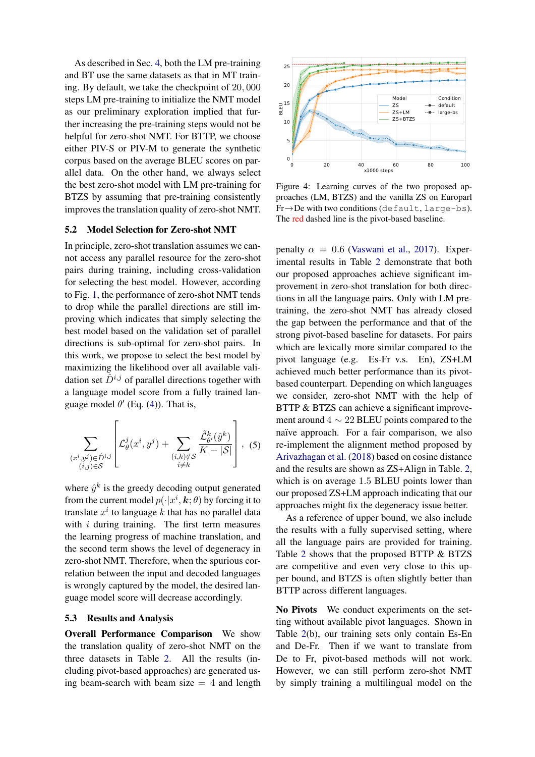As described in Sec. [4,](#page-3-3) both the LM pre-training and BT use the same datasets as that in MT training. By default, we take the checkpoint of 20, 000 steps LM pre-training to initialize the NMT model as our preliminary exploration implied that further increasing the pre-training steps would not be helpful for zero-shot NMT. For BTTP, we choose either PIV-S or PIV-M to generate the synthetic corpus based on the average BLEU scores on parallel data. On the other hand, we always select the best zero-shot model with LM pre-training for BTZS by assuming that pre-training consistently improves the translation quality of zero-shot NMT.

### 5.2 Model Selection for Zero-shot NMT

In principle, zero-shot translation assumes we cannot access any parallel resource for the zero-shot pairs during training, including cross-validation for selecting the best model. However, according to Fig. [1,](#page-2-1) the performance of zero-shot NMT tends to drop while the parallel directions are still improving which indicates that simply selecting the best model based on the validation set of parallel directions is sub-optimal for zero-shot pairs. In this work, we propose to select the best model by maximizing the likelihood over all available validation set  $\hat{D}^{i,j}$  of parallel directions together with a language model score from a fully trained language model  $\theta'$  (Eq. [\(4\)](#page-3-0)). That is,

$$
\sum_{\substack{(x^i,y^j)\in\hat{D}^{i,j} \\ (i,j)\in\mathcal{S}}} \left[ \mathcal{L}^j_\theta(x^i,y^j) + \sum_{\substack{(i,k)\notin\mathcal{S} \\ i\neq k}} \frac{\tilde{\mathcal{L}}^k_{\theta'}(\hat{y}^k)}{K - |\mathcal{S}|} \right], \tag{5}
$$

where  $\hat{y}^k$  is the greedy decoding output generated from the current model  $p(\cdot|x^i, \mathbf{k}; \theta)$  by forcing it to translate  $x^i$  to language  $k$  that has no parallel data with  $i$  during training. The first term measures the learning progress of machine translation, and the second term shows the level of degeneracy in zero-shot NMT. Therefore, when the spurious correlation between the input and decoded languages is wrongly captured by the model, the desired language model score will decrease accordingly.

# 5.3 Results and Analysis

Overall Performance Comparison We show the translation quality of zero-shot NMT on the three datasets in Table [2.](#page-6-0) All the results (including pivot-based approaches) are generated using beam-search with beam size  $= 4$  and length

<span id="page-5-0"></span>

Figure 4: Learning curves of the two proposed approaches (LM, BTZS) and the vanilla ZS on Europarl Fr→De with two conditions (default, large-bs). The red dashed line is the pivot-based baseline.

penalty  $\alpha = 0.6$  [\(Vaswani et al.,](#page-9-1) [2017\)](#page-9-1). Experimental results in Table [2](#page-6-0) demonstrate that both our proposed approaches achieve significant improvement in zero-shot translation for both directions in all the language pairs. Only with LM pretraining, the zero-shot NMT has already closed the gap between the performance and that of the strong pivot-based baseline for datasets. For pairs which are lexically more similar compared to the pivot language (e.g. Es-Fr v.s. En), ZS+LM achieved much better performance than its pivotbased counterpart. Depending on which languages we consider, zero-shot NMT with the help of BTTP & BTZS can achieve a significant improvement around  $4 \sim 22$  BLEU points compared to the naïve approach. For a fair comparison, we also re-implement the alignment method proposed by [Arivazhagan et al.](#page-8-6) [\(2018\)](#page-8-6) based on cosine distance and the results are shown as ZS+Align in Table. [2,](#page-6-0) which is on average 1.5 BLEU points lower than our proposed ZS+LM approach indicating that our approaches might fix the degeneracy issue better.

As a reference of upper bound, we also include the results with a fully supervised setting, where all the language pairs are provided for training. Table [2](#page-6-0) shows that the proposed BTTP & BTZS are competitive and even very close to this upper bound, and BTZS is often slightly better than BTTP across different languages.

No Pivots We conduct experiments on the setting without available pivot languages. Shown in Table [2\(](#page-6-0)b), our training sets only contain Es-En and De-Fr. Then if we want to translate from De to Fr, pivot-based methods will not work. However, we can still perform zero-shot NMT by simply training a multilingual model on the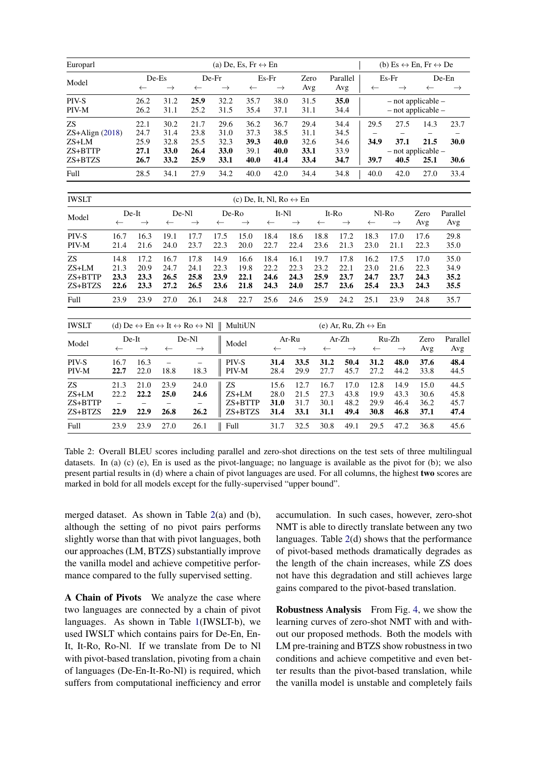<span id="page-6-0"></span>

| Europarl          | (a) De, Es, Fr $\leftrightarrow$ En<br>(b) Es $\leftrightarrow$ En, Fr $\leftrightarrow$ De |                                                                                            |               |                        |               |                                         |               |                        |                  |                                     |                    |                        |                        |                 |  |
|-------------------|---------------------------------------------------------------------------------------------|--------------------------------------------------------------------------------------------|---------------|------------------------|---------------|-----------------------------------------|---------------|------------------------|------------------|-------------------------------------|--------------------|------------------------|------------------------|-----------------|--|
| Model             |                                                                                             | De-Es                                                                                      |               | De-Fr                  |               |                                         | $Es-Fr$       |                        | Zero<br>Parallel |                                     | Es-Fr              |                        | De-En                  |                 |  |
|                   |                                                                                             | $\leftarrow$                                                                               | $\rightarrow$ | $\leftarrow$           | $\rightarrow$ | $\leftarrow$                            | $\rightarrow$ | Avg                    |                  | Avg                                 | $\leftarrow$       | $\rightarrow$          | $\leftarrow$           | $\rightarrow$   |  |
| PIV-S             |                                                                                             | 26.2                                                                                       | 31.2          | 25.9                   | 32.2          | 35.7                                    | 38.0          | 31.5                   |                  | 35.0                                |                    |                        | $-$ not applicable $-$ |                 |  |
| PIV-M             |                                                                                             | 26.2                                                                                       | 31.1          | 25.2<br>31.5           |               | 35.4                                    | 37.1          | 31.1                   |                  | 34.4                                | - not applicable - |                        |                        |                 |  |
| <b>ZS</b>         |                                                                                             | 22.1                                                                                       | 30.2          | 21.7                   | 29.6          | 36.2                                    | 36.7          | 29.4                   |                  | 34.4                                | 29.5               | 27.5                   | 14.3                   | 23.7            |  |
| $ZS+align$ (2018) |                                                                                             | 24.7                                                                                       | 31.4          | 23.8                   | 31.0          | 37.3                                    | 38.5          | 31.1                   |                  | 34.5                                |                    |                        |                        |                 |  |
| $ZS+LM$           |                                                                                             | 25.9                                                                                       | 32.8          | 25.5                   | 32.3          | 39.3                                    | 40.0          | 32.6                   |                  | 34.6                                | 34.9               | 37.1                   | 21.5                   | 30.0            |  |
| ZS+BTTP           |                                                                                             | 27.1                                                                                       | 33.0          | 26.4                   | 33.0          | 39.1                                    | 40.0          | 33.1                   |                  | 33.9                                |                    |                        | $-$ not applicable $-$ |                 |  |
| ZS+BTZS           |                                                                                             | 26.7                                                                                       | 33.2          | 25.9                   | 33.1          | 40.0                                    | 41.4          | 33.4                   |                  | 34.7                                | 39.7               | 40.5                   | 25.1                   | 30.6            |  |
| Full              |                                                                                             | 28.5                                                                                       | 34.1          | 27.9                   | 34.2          | 40.0                                    | 42.0          | 34.4                   |                  | 34.8                                | 40.0               | 42.0                   | 27.0                   | 33.4            |  |
| <b>IWSLT</b>      |                                                                                             |                                                                                            |               |                        |               | (c) De, It, Nl, Ro $\leftrightarrow$ En |               |                        |                  |                                     |                    |                        |                        |                 |  |
| Model             |                                                                                             | De-Nl<br>De-It                                                                             |               |                        | De-Ro         |                                         |               | It-Nl                  |                  | It-Ro<br>Nl-Ro                      |                    |                        | Zero                   | Parallel        |  |
|                   | $\leftarrow$                                                                                | $\rightarrow$                                                                              | $\leftarrow$  | $\rightarrow$          | $\leftarrow$  | $\rightarrow$                           | $\leftarrow$  | $\rightarrow$          | $\leftarrow$     | $\rightarrow$                       | $\leftarrow$       | $\rightarrow$          | Avg                    | Avg             |  |
| PIV-S             | 16.7                                                                                        | 16.3                                                                                       | 19.1          | 17.7                   | 17.5          | 15.0                                    | 18.4          | 18.6                   | 18.8             | 17.2                                | 18.3               | 17.0                   | 17.6                   | 29.8            |  |
| PIV-M             | 21.4                                                                                        | 21.6                                                                                       | 24.0          | 23.7                   | 22.3          | 20.0                                    | 22.7          | 22.4                   | 23.6             | 21.3                                | 23.0               | 21.1                   | 22.3                   | 35.0            |  |
| <b>ZS</b>         | 14.8                                                                                        | 17.2                                                                                       | 16.7          | 17.8                   | 14.9          | 16.6                                    | 18.4          | 16.1                   | 19.7             | 17.8                                | 16.2               | 17.5                   | 17.0                   | 35.0            |  |
| ZS+LM             | 21.3                                                                                        | 20.9                                                                                       | 24.7          | 24.1                   | 22.3          | 19.8                                    | 22.2          | 22.3                   | 23.2             | 22.1                                | 23.0               | 21.6                   | 22.3                   | 34.9            |  |
| ZS+BTTP           | 23.3                                                                                        | 23.3                                                                                       | 26.5          | 25.8                   | 23.9          | 22.1                                    | 24.6          | 24.3                   | 25.9             | 23.7                                | 24.7               | 23.7                   | 24.3                   | 35.2            |  |
| ZS+BTZS           | 22.6                                                                                        | 23.3                                                                                       | 27.2          | 26.5                   | 23.6          | 21.8                                    | 24.3          | 24.0                   | 25.7             | 23.6                                | 25.4               | 23.3                   | 24.3                   | 35.5            |  |
| Full              | 23.9                                                                                        | 23.9                                                                                       | 27.0          | 26.1                   | 24.8          | 22.7                                    | 25.6          | 24.6                   | 25.9             | 24.2                                | 25.1               | 23.9                   | 24.8                   | 35.7            |  |
| <b>IWSLT</b>      |                                                                                             |                                                                                            |               |                        |               | MultiUN                                 |               |                        |                  | (e) Ar, Ru, $Zh \leftrightarrow En$ |                    |                        |                        |                 |  |
|                   |                                                                                             | (d) De $\leftrightarrow$ En $\leftrightarrow$ It $\leftrightarrow$ Ro $\leftrightarrow$ Nl |               |                        |               |                                         |               |                        |                  |                                     |                    |                        |                        |                 |  |
| Model             | $\leftarrow$                                                                                | De-It<br>$\rightarrow$                                                                     | $\leftarrow$  | De-Nl<br>$\rightarrow$ |               | Model                                   | $\leftarrow$  | Ar-Ru<br>$\rightarrow$ | $\leftarrow$     | Ar-Zh<br>$\rightarrow$              | $\leftarrow$       | Ru-Zh<br>$\rightarrow$ | Zero<br>Avg            | Parallel<br>Avg |  |
| PIV-S             | 16.7                                                                                        | 16.3                                                                                       | $\equiv$      | $\qquad \qquad -$      |               | PIV-S                                   | 31.4          | 33.5                   | 31.2             | 50.4                                | 31.2               | 48.0                   | 37.6                   | 48.4            |  |
| PIV-M             | 22.7                                                                                        | 22.0                                                                                       | 18.8          | 18.3                   |               | PIV-M                                   | 28.4          | 29.9                   | 27.7             | 45.7                                | 27.2               | 44.2                   | 33.8                   | 44.5            |  |
| <b>ZS</b>         | 21.3                                                                                        | 21.0                                                                                       | 23.9          | 24.0                   | <b>ZS</b>     |                                         | 15.6          | 12.7                   | 16.7             | 17.0                                | 12.8               | 14.9                   | 15.0                   | 44.5            |  |
| ZS+LM             | 22.2                                                                                        | 22.2                                                                                       | 25.0          | 24.6                   |               | ZS+LM                                   | 28.0          | 21.5                   | 27.3             | 43.8                                | 19.9               | 43.3                   | 30.6                   | 45.8            |  |
| ZS+BTTP           | $\qquad \qquad -$                                                                           |                                                                                            |               |                        |               | ZS+BTTP                                 | 31.0          | 31.7                   | 30.1             | 48.2                                | 29.9               | 46.4                   | 36.2                   | 45.7            |  |
| ZS+BTZS           | 22.9                                                                                        | 22.9                                                                                       | 26.8          | 26.2                   |               | $ZS + BTZS$                             | 31.4          | 33.1                   | 31.1             | 49.4                                | 30.8               | 46.8                   | 37.1                   | 47.4            |  |
| Full              | 23.9                                                                                        | 23.9                                                                                       | 27.0          | 26.1                   |               | Full                                    | 31.7          | 32.5                   | 30.8             | 49.1                                | 29.5               | 47.2                   | 36.8                   | 45.6            |  |

Table 2: Overall BLEU scores including parallel and zero-shot directions on the test sets of three multilingual datasets. In (a) (c) (e), En is used as the pivot-language; no language is available as the pivot for (b); we also present partial results in (d) where a chain of pivot languages are used. For all columns, the highest two scores are marked in bold for all models except for the fully-supervised "upper bound".

merged dataset. As shown in Table [2\(](#page-6-0)a) and (b), although the setting of no pivot pairs performs slightly worse than that with pivot languages, both our approaches (LM, BTZS) substantially improve the vanilla model and achieve competitive performance compared to the fully supervised setting.

A Chain of Pivots We analyze the case where two languages are connected by a chain of pivot languages. As shown in Table [1\(](#page-4-2)IWSLT-b), we used IWSLT which contains pairs for De-En, En-It, It-Ro, Ro-Nl. If we translate from De to Nl with pivot-based translation, pivoting from a chain of languages (De-En-It-Ro-Nl) is required, which suffers from computational inefficiency and error

accumulation. In such cases, however, zero-shot NMT is able to directly translate between any two languages. Table [2\(](#page-6-0)d) shows that the performance of pivot-based methods dramatically degrades as the length of the chain increases, while ZS does not have this degradation and still achieves large gains compared to the pivot-based translation.

Robustness Analysis From Fig. [4,](#page-5-0) we show the learning curves of zero-shot NMT with and without our proposed methods. Both the models with LM pre-training and BTZS show robustness in two conditions and achieve competitive and even better results than the pivot-based translation, while the vanilla model is unstable and completely fails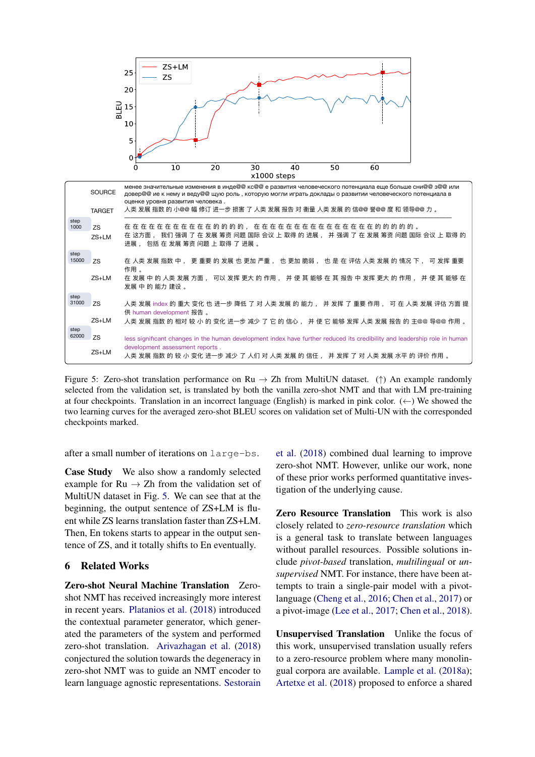<span id="page-7-0"></span>

Figure 5: Zero-shot translation performance on Ru  $\rightarrow$  Zh from MultiUN dataset. (†) An example randomly selected from the validation set, is translated by both the vanilla zero-shot NMT and that with LM pre-training at four checkpoints. Translation in an incorrect language (English) is marked in pink color.  $(\leftarrow)$  We showed the two learning curves for the averaged zero-shot BLEU scores on validation set of Multi-UN with the corresponded checkpoints marked.

after a small number of iterations on large-bs.

Case Study We also show a randomly selected example for  $Ru \rightarrow Zh$  from the validation set of MultiUN dataset in Fig. [5.](#page-7-0) We can see that at the beginning, the output sentence of ZS+LM is fluent while ZS learns translation faster than ZS+LM. Then, En tokens starts to appear in the output sentence of ZS, and it totally shifts to En eventually.

# 6 Related Works

Zero-shot Neural Machine Translation Zeroshot NMT has received increasingly more interest in recent years. [Platanios et al.](#page-9-11) [\(2018\)](#page-9-11) introduced the contextual parameter generator, which generated the parameters of the system and performed zero-shot translation. [Arivazhagan et al.](#page-8-6) [\(2018\)](#page-8-6) conjectured the solution towards the degeneracy in zero-shot NMT was to guide an NMT encoder to learn language agnostic representations. [Sestorain](#page-9-5) [et al.](#page-9-5) [\(2018\)](#page-9-5) combined dual learning to improve zero-shot NMT. However, unlike our work, none of these prior works performed quantitative investigation of the underlying cause.

Zero Resource Translation This work is also closely related to *zero-resource translation* which is a general task to translate between languages without parallel resources. Possible solutions include *pivot-based* translation, *multilingual* or *unsupervised* NMT. For instance, there have been attempts to train a single-pair model with a pivotlanguage [\(Cheng et al.,](#page-8-7) [2016;](#page-8-7) [Chen et al.,](#page-8-4) [2017\)](#page-8-4) or a pivot-image [\(Lee et al.,](#page-9-12) [2017;](#page-9-12) [Chen et al.,](#page-8-13) [2018\)](#page-8-13).

Unsupervised Translation Unlike the focus of this work, unsupervised translation usually refers to a zero-resource problem where many monolingual corpora are available. [Lample et al.](#page-9-3) [\(2018a\)](#page-9-3); [Artetxe et al.](#page-8-14) [\(2018\)](#page-8-14) proposed to enforce a shared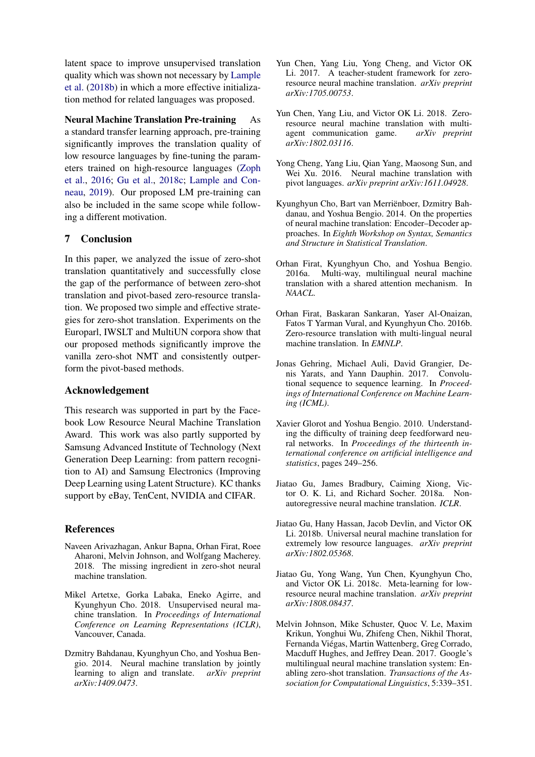latent space to improve unsupervised translation quality which was shown not necessary by [Lample](#page-9-4) [et al.](#page-9-4) [\(2018b\)](#page-9-4) in which a more effective initialization method for related languages was proposed.

Neural Machine Translation Pre-training As a standard transfer learning approach, pre-training significantly improves the translation quality of low resource languages by fine-tuning the parameters trained on high-resource languages [\(Zoph](#page-9-13) [et al.,](#page-9-13) [2016;](#page-9-13) [Gu et al.,](#page-8-10) [2018c;](#page-8-10) [Lample and Con](#page-9-14)[neau,](#page-9-14) [2019\)](#page-9-14). Our proposed LM pre-training can also be included in the same scope while following a different motivation.

# 7 Conclusion

In this paper, we analyzed the issue of zero-shot translation quantitatively and successfully close the gap of the performance of between zero-shot translation and pivot-based zero-resource translation. We proposed two simple and effective strategies for zero-shot translation. Experiments on the Europarl, IWSLT and MultiUN corpora show that our proposed methods significantly improve the vanilla zero-shot NMT and consistently outperform the pivot-based methods.

### Acknowledgement

This research was supported in part by the Facebook Low Resource Neural Machine Translation Award. This work was also partly supported by Samsung Advanced Institute of Technology (Next Generation Deep Learning: from pattern recognition to AI) and Samsung Electronics (Improving Deep Learning using Latent Structure). KC thanks support by eBay, TenCent, NVIDIA and CIFAR.

### References

- <span id="page-8-6"></span>Naveen Arivazhagan, Ankur Bapna, Orhan Firat, Roee Aharoni, Melvin Johnson, and Wolfgang Macherey. 2018. The missing ingredient in zero-shot neural machine translation.
- <span id="page-8-14"></span>Mikel Artetxe, Gorka Labaka, Eneko Agirre, and Kyunghyun Cho. 2018. Unsupervised neural machine translation. In *Proceedings of International Conference on Learning Representations (ICLR)*, Vancouver, Canada.
- <span id="page-8-0"></span>Dzmitry Bahdanau, Kyunghyun Cho, and Yoshua Bengio. 2014. Neural machine translation by jointly learning to align and translate. *arXiv preprint arXiv:1409.0473*.
- <span id="page-8-4"></span>Yun Chen, Yang Liu, Yong Cheng, and Victor OK Li. 2017. A teacher-student framework for zeroresource neural machine translation. *arXiv preprint arXiv:1705.00753*.
- <span id="page-8-13"></span>Yun Chen, Yang Liu, and Victor OK Li. 2018. Zeroresource neural machine translation with multiagent communication game. *arXiv preprint arXiv:1802.03116*.
- <span id="page-8-7"></span>Yong Cheng, Yang Liu, Qian Yang, Maosong Sun, and Wei Xu. 2016. Neural machine translation with pivot languages. *arXiv preprint arXiv:1611.04928*.
- <span id="page-8-8"></span>Kyunghyun Cho, Bart van Merrienboer, Dzmitry Bah- ¨ danau, and Yoshua Bengio. 2014. On the properties of neural machine translation: Encoder–Decoder approaches. In *Eighth Workshop on Syntax, Semantics and Structure in Statistical Translation*.
- <span id="page-8-1"></span>Orhan Firat, Kyunghyun Cho, and Yoshua Bengio. 2016a. Multi-way, multilingual neural machine translation with a shared attention mechanism. In *NAACL*.
- <span id="page-8-3"></span>Orhan Firat, Baskaran Sankaran, Yaser Al-Onaizan, Fatos T Yarman Vural, and Kyunghyun Cho. 2016b. Zero-resource translation with multi-lingual neural machine translation. In *EMNLP*.
- <span id="page-8-9"></span>Jonas Gehring, Michael Auli, David Grangier, Denis Yarats, and Yann Dauphin. 2017. Convolutional sequence to sequence learning. In *Proceedings of International Conference on Machine Learning (ICML)*.
- <span id="page-8-11"></span>Xavier Glorot and Yoshua Bengio. 2010. Understanding the difficulty of training deep feedforward neural networks. In *Proceedings of the thirteenth international conference on artificial intelligence and statistics*, pages 249–256.
- <span id="page-8-12"></span>Jiatao Gu, James Bradbury, Caiming Xiong, Victor O. K. Li, and Richard Socher. 2018a. Nonautoregressive neural machine translation. *ICLR*.
- <span id="page-8-2"></span>Jiatao Gu, Hany Hassan, Jacob Devlin, and Victor OK Li. 2018b. Universal neural machine translation for extremely low resource languages. *arXiv preprint arXiv:1802.05368*.
- <span id="page-8-10"></span>Jiatao Gu, Yong Wang, Yun Chen, Kyunghyun Cho, and Victor OK Li. 2018c. Meta-learning for lowresource neural machine translation. *arXiv preprint arXiv:1808.08437*.
- <span id="page-8-5"></span>Melvin Johnson, Mike Schuster, Quoc V. Le, Maxim Krikun, Yonghui Wu, Zhifeng Chen, Nikhil Thorat, Fernanda Viegas, Martin Wattenberg, Greg Corrado, ´ Macduff Hughes, and Jeffrey Dean. 2017. Google's multilingual neural machine translation system: Enabling zero-shot translation. *Transactions of the Association for Computational Linguistics*, 5:339–351.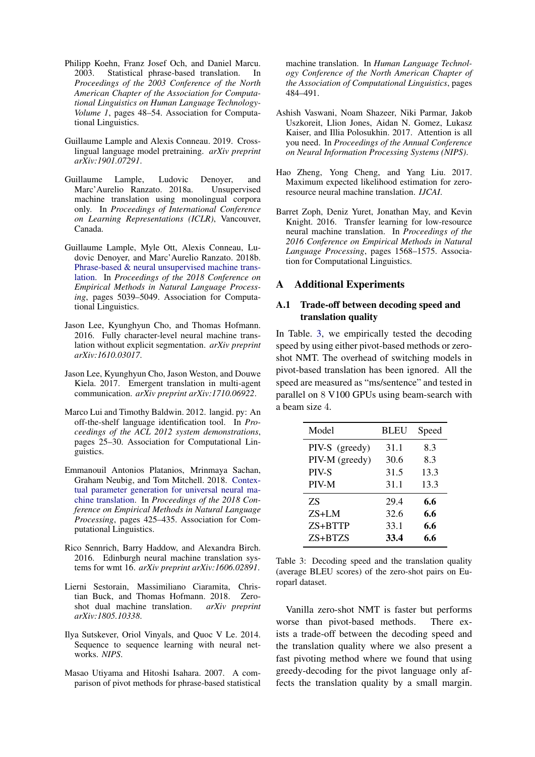- <span id="page-9-2"></span>Philipp Koehn, Franz Josef Och, and Daniel Marcu. 2003. Statistical phrase-based translation. In *Proceedings of the 2003 Conference of the North American Chapter of the Association for Computational Linguistics on Human Language Technology-Volume 1*, pages 48–54. Association for Computational Linguistics.
- <span id="page-9-14"></span>Guillaume Lample and Alexis Conneau. 2019. Crosslingual language model pretraining. *arXiv preprint arXiv:1901.07291*.
- <span id="page-9-3"></span>Guillaume Lample, Ludovic Denoyer, and Marc'Aurelio Ranzato. 2018a. Unsupervised machine translation using monolingual corpora only. In *Proceedings of International Conference on Learning Representations (ICLR)*, Vancouver, Canada.
- <span id="page-9-4"></span>Guillaume Lample, Myle Ott, Alexis Conneau, Ludovic Denoyer, and Marc'Aurelio Ranzato. 2018b. [Phrase-based & neural unsupervised machine trans](http://aclweb.org/anthology/D18-1549)[lation.](http://aclweb.org/anthology/D18-1549) In *Proceedings of the 2018 Conference on Empirical Methods in Natural Language Processing*, pages 5039–5049. Association for Computational Linguistics.
- <span id="page-9-7"></span>Jason Lee, Kyunghyun Cho, and Thomas Hofmann. 2016. Fully character-level neural machine translation without explicit segmentation. *arXiv preprint arXiv:1610.03017*.
- <span id="page-9-12"></span>Jason Lee, Kyunghyun Cho, Jason Weston, and Douwe Kiela. 2017. Emergent translation in multi-agent communication. *arXiv preprint arXiv:1710.06922*.
- <span id="page-9-8"></span>Marco Lui and Timothy Baldwin. 2012. langid. py: An off-the-shelf language identification tool. In *Proceedings of the ACL 2012 system demonstrations*, pages 25–30. Association for Computational Linguistics.
- <span id="page-9-11"></span>Emmanouil Antonios Platanios, Mrinmaya Sachan, Graham Neubig, and Tom Mitchell. 2018. [Contex](http://aclweb.org/anthology/D18-1039)[tual parameter generation for universal neural ma](http://aclweb.org/anthology/D18-1039)[chine translation.](http://aclweb.org/anthology/D18-1039) In *Proceedings of the 2018 Conference on Empirical Methods in Natural Language Processing*, pages 425–435. Association for Computational Linguistics.
- <span id="page-9-9"></span>Rico Sennrich, Barry Haddow, and Alexandra Birch. 2016. Edinburgh neural machine translation systems for wmt 16. *arXiv preprint arXiv:1606.02891*.
- <span id="page-9-5"></span>Lierni Sestorain, Massimiliano Ciaramita, Christian Buck, and Thomas Hofmann. 2018. Zeroshot dual machine translation. *arXiv preprint arXiv:1805.10338*.
- <span id="page-9-0"></span>Ilya Sutskever, Oriol Vinyals, and Quoc V Le. 2014. Sequence to sequence learning with neural networks. *NIPS*.
- <span id="page-9-6"></span>Masao Utiyama and Hitoshi Isahara. 2007. A comparison of pivot methods for phrase-based statistical

machine translation. In *Human Language Technology Conference of the North American Chapter of the Association of Computational Linguistics*, pages 484–491.

- <span id="page-9-1"></span>Ashish Vaswani, Noam Shazeer, Niki Parmar, Jakob Uszkoreit, Llion Jones, Aidan N. Gomez, Lukasz Kaiser, and Illia Polosukhin. 2017. Attention is all you need. In *Proceedings of the Annual Conference on Neural Information Processing Systems (NIPS)*.
- <span id="page-9-10"></span>Hao Zheng, Yong Cheng, and Yang Liu. 2017. Maximum expected likelihood estimation for zeroresource neural machine translation. *IJCAI*.
- <span id="page-9-13"></span>Barret Zoph, Deniz Yuret, Jonathan May, and Kevin Knight. 2016. Transfer learning for low-resource neural machine translation. In *Proceedings of the 2016 Conference on Empirical Methods in Natural Language Processing*, pages 1568–1575. Association for Computational Linguistics.

# A Additional Experiments

# A.1 Trade-off between decoding speed and translation quality

In Table. [3,](#page-9-15) we empirically tested the decoding speed by using either pivot-based methods or zeroshot NMT. The overhead of switching models in pivot-based translation has been ignored. All the speed are measured as "ms/sentence" and tested in parallel on 8 V100 GPUs using beam-search with a beam size 4.

<span id="page-9-15"></span>

| Model          | <b>BLEU</b> | Speed |
|----------------|-------------|-------|
| PIV-S (greedy) | 31.1        | 8.3   |
| PIV-M (greedy) | 30.6        | 8.3   |
| PIV-S          | 31.5        | 13.3  |
| PIV-M          | 31.1        | 13.3  |
| 7S             | 29.4        | 6.6   |
| $ZS+LM$        | 32.6        | 6.6   |
| ZS+BTTP        | 33.1        | 6.6   |
| ZS+BTZS        | 33.4        | 6.6   |

Table 3: Decoding speed and the translation quality (average BLEU scores) of the zero-shot pairs on Europarl dataset.

Vanilla zero-shot NMT is faster but performs worse than pivot-based methods. There exists a trade-off between the decoding speed and the translation quality where we also present a fast pivoting method where we found that using greedy-decoding for the pivot language only affects the translation quality by a small margin.